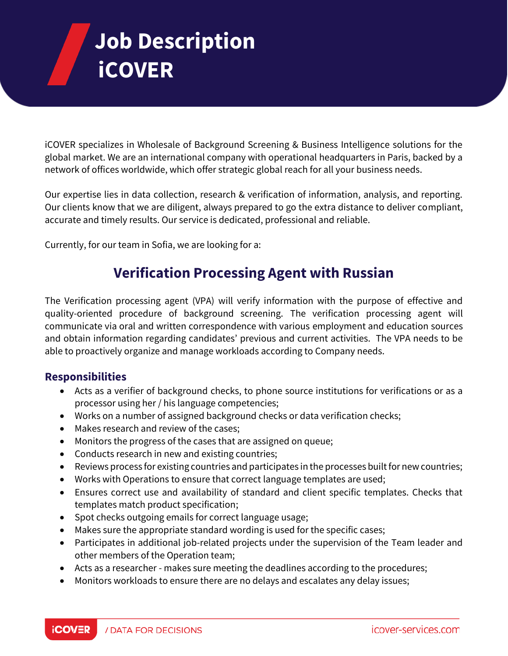# **Job Description iCOVER**

iCOVER specializes in Wholesale of Background Screening & Business Intelligence solutions for the global market. We are an international company with operational headquarters in Paris, backed by a network of offices worldwide, which offer strategic global reach for all your business needs.

Our expertise lies in data collection, research & verification of information, analysis, and reporting. Our clients know that we are diligent, always prepared to go the extra distance to deliver compliant, accurate and timely results. Our service is dedicated, professional and reliable.

Currently, for our team in Sofia, we are looking for a:

# **Verification Processing Agent with Russian**

The Verification processing agent (VPA) will verify information with the purpose of effective and quality-oriented procedure of background screening. The verification processing agent will communicate via oral and written correspondence with various employment and education sources and obtain information regarding candidates' previous and current activities. The VPA needs to be able to proactively organize and manage workloads according to Company needs.

## **Responsibilities**

- Acts as a verifier of background checks, to phone source institutions for verifications or as a processor using her / his language competencies;
- Works on a number of assigned background checks or data verification checks;
- Makes research and review of the cases;
- Monitors the progress of the cases that are assigned on queue;
- Conducts research in new and existing countries;
- Reviews process for existing countries and participates in the processes built for new countries;
- Works with Operations to ensure that correct language templates are used;
- Ensures correct use and availability of standard and client specific templates. Checks that templates match product specification;
- Spot checks outgoing emails for correct language usage;
- Makes sure the appropriate standard wording is used for the specific cases;
- Participates in additional job-related projects under the supervision of the Team leader and other members of the Operation team;
- Acts as a researcher makes sure meeting the deadlines according to the procedures;
- Monitors workloads to ensure there are no delays and escalates any delay issues;